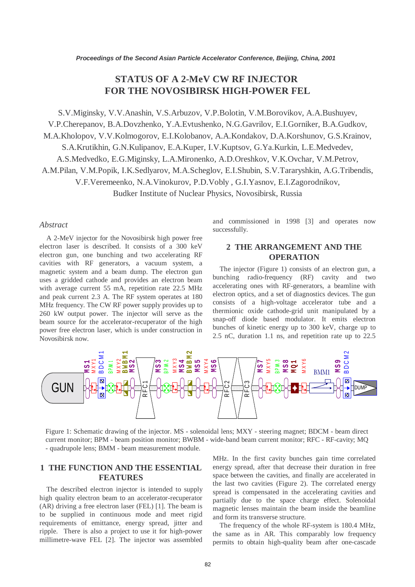# **STATUS OF A 2-MeV CW RF INJECTOR FOR THE NOVOSIBIRSK HIGH-POWER FEL**

S.V.Miginsky, V.V.Anashin, V.S.Arbuzov, V.P.Bolotin, V.M.Borovikov, A.A.Bushuyev, V.P.Cherepanov, B.A.Dovzhenko, Y.A.Evtushenko, N.G.Gavrilov, E.I.Gorniker, B.A.Gudkov, M.A.Kholopov, V.V.Kolmogorov, E.I.Kolobanov, A.A.Kondakov, D.A.Korshunov, G.S.Krainov, S.A.Krutikhin, G.N.Kulipanov, E.A.Kuper, I.V.Kuptsov, G.Ya.Kurkin, L.E.Medvedev, A.S.Medvedko, E.G.Miginsky, L.A.Mironenko, A.D.Oreshkov, V.K.Ovchar, V.M.Petrov, A.M.Pilan, V.M.Popik, I.K.Sedlyarov, M.A.Scheglov, E.I.Shubin, S.V.Tararyshkin, A.G.Tribendis, V.F.Veremeenko, N.A.Vinokurov, P.D.Vobly , G.I.Yasnov, E.I.Zagorodnikov, Budker Institute of Nuclear Physics, Novosibirsk, Russia

#### *Abstract*

A 2-MeV injector for the Novosibirsk high power free electron laser is described. It consists of a 300 keV electron gun, one bunching and two accelerating RF cavities with RF generators, a vacuum system, a magnetic system and a beam dump. The electron gun uses a gridded cathode and provides an electron beam with average current 55 mA, repetition rate 22.5 MHz and peak current 2.3 A. The RF system operates at 180 MHz frequency. The CW RF power supply provides up to 260 kW output power. The injector will serve as the beam source for the accelerator-recuperator of the high power free electron laser, which is under construction in Novosibirsk now.

and commissioned in 1998 [3] and operates now successfully.

## **2 THE ARRANGEMENT AND THE OPERATION**

The injector (Figure 1) consists of an electron gun, a bunching radio-frequency (RF) cavity and two accelerating ones with RF-generators, a beamline with electron optics, and a set of diagnostics devices. The gun consists of a high-voltage accelerator tube and a thermionic oxide cathode-grid unit manipulated by a snap-off diode based modulator. It emits electron bunches of kinetic energy up to 300 keV, charge up to 2.5 nC, duration 1.1 ns, and repetition rate up to 22.5



Figure 1: Schematic drawing of the injector. MS - solenoidal lens; MXY - steering magnet; BDCM - beam direct current monitor; BPM - beam position monitor; BWBM - wide-band beam current monitor; RFC - RF-cavity; MQ - quadrupole lens; BMM - beam measurement module.

### **1 THE FUNCTION AND THE ESSENTIAL FEATURES**

The described electron injector is intended to supply high quality electron beam to an accelerator-recuperator (AR) driving a free electron laser (FEL) [1]. The beam is to be supplied in continuous mode and meet rigid requirements of emittance, energy spread, jitter and ripple. There is also a project to use it for high-power millimetre-wave FEL [2]. The injector was assembled MHz. In the first cavity bunches gain time correlated energy spread, after that decrease their duration in free space between the cavities, and finally are accelerated in the last two cavities (Figure 2). The correlated energy spread is compensated in the accelerating cavities and partially due to the space charge effect. Solenoidal magnetic lenses maintain the beam inside the beamline and form its transverse structure.

The frequency of the whole RF-system is 180.4 MHz, the same as in AR. This comparably low frequency permits to obtain high-quality beam after one-cascade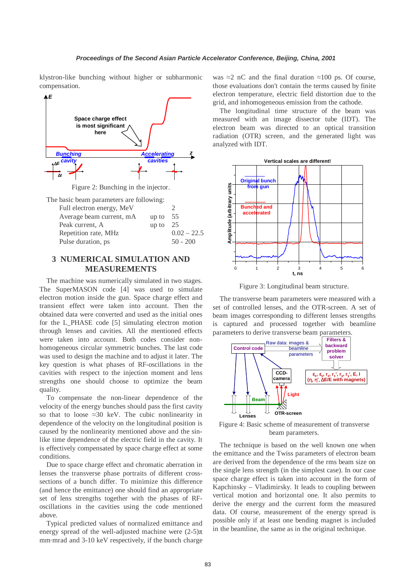klystron-like bunching without higher or subharmonic compensation.



Figure 2: Bunching in the injector.

The basic beam parameters are following: Full electron energy, MeV 2 Average beam current, mA up to 55

| Peak current, A      | up to $25$ |               |
|----------------------|------------|---------------|
| Repetition rate, MHz |            | $0.02 - 22.5$ |
| Pulse duration, ps.  |            | $50 - 200$    |

# **3 NUMERICAL SIMULATION AND MEASUREMENTS**

The machine was numerically simulated in two stages. The SuperMASON code [4] was used to simulate electron motion inside the gun. Space charge effect and transient effect were taken into account. Then the obtained data were converted and used as the initial ones for the L\_PHASE code [5] simulating electron motion through lenses and cavities. All the mentioned effects were taken into account. Both codes consider nonhomogeneous circular symmetric bunches. The last code was used to design the machine and to adjust it later. The key question is what phases of RF-oscillations in the cavities with respect to the injection moment and lens strengths one should choose to optimize the beam quality.

To compensate the non-linear dependence of the velocity of the energy bunches should pass the first cavity so that to loose  $\approx 30$  keV. The cubic nonlinearity in dependence of the velocity on the longitudinal position is caused by the nonlinearity mentioned above and the sinlike time dependence of the electric field in the cavity. It is effectively compensated by space charge effect at some conditions.

Due to space charge effect and chromatic aberration in lenses the transverse phase portraits of different crosssections of a bunch differ. To minimize this difference (and hence the emittance) one should find an appropriate set of lens strengths together with the phases of RFoscillations in the cavities using the code mentioned above.

Typical predicted values of normalized emittance and energy spread of the well-adjusted machine were  $(2-5)\pi$ mm·mrad and 3-10 keV respectively, if the bunch charge was  $\approx$ 2 nC and the final duration  $\approx$ 100 ps. Of course, those evaluations don't contain the terms caused by finite electron temperature, electric field distortion due to the grid, and inhomogeneous emission from the cathode.

The longitudinal time structure of the beam was measured with an image dissector tube (IDT). The electron beam was directed to an optical transition radiation (OTR) screen, and the generated light was analyzed with IDT.



Figure 3: Longitudinal beam structure.

The transverse beam parameters were measured with a set of controlled lenses, and the OTR-screen. A set of beam images corresponding to different lenses strengths is captured and processed together with beamline parameters to derive transverse beam parameters.



Figure 4: Basic scheme of measurement of transverse beam parameters.

The technique is based on the well known one when the emittance and the Twiss parameters of electron beam are derived from the dependence of the rms beam size on the single lens strength (in the simplest case). In our case space charge effect is taken into account in the form of Kapchinsky – Vladimirsky. It leads to coupling between vertical motion and horizontal one. It also permits to derive the energy and the current form the measured data. Of course, measurement of the energy spread is possible only if at least one bending magnet is included in the beamline, the same as in the original technique.